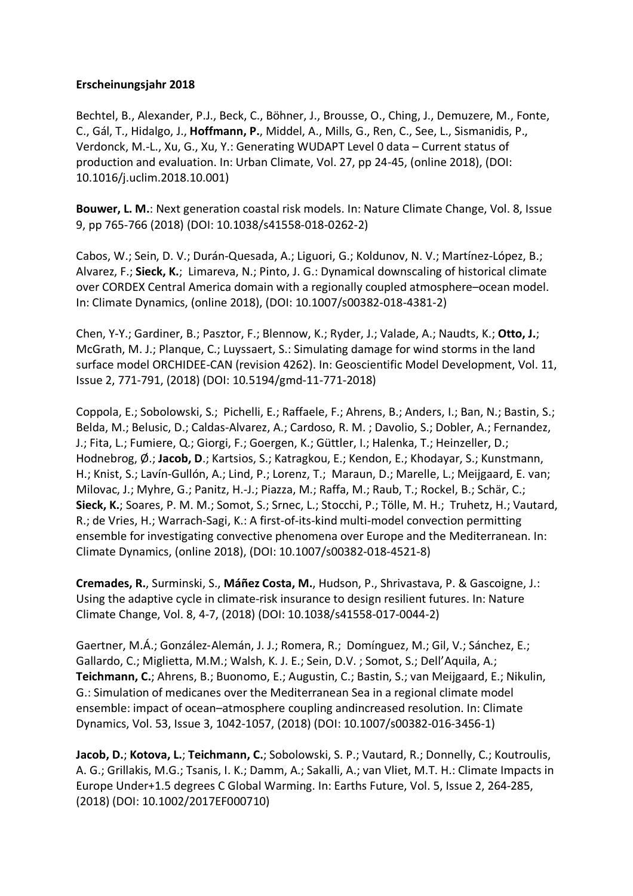## **Erscheinungsjahr 2018**

Bechtel, B., Alexander, P.J., Beck, C., Böhner, J., Brousse, O., Ching, J., Demuzere, M., Fonte, C., Gál, T., Hidalgo, J., **Hoffmann, P.**, Middel, A., Mills, G., Ren, C., See, L., Sismanidis, P., Verdonck, M.-L., Xu, G., Xu, Y.: Generating WUDAPT Level 0 data – Current status of production and evaluation. In: Urban Climate, Vol. 27, pp 24-45, (online 2018), (DOI: 10.1016/j.uclim.2018.10.001)

**Bouwer, L. M.**: Next generation coastal risk models. In: Nature Climate Change, Vol. 8, Issue 9, pp 765-766 (2018) (DOI: 10.1038/s41558-018-0262-2)

Cabos, W.; Sein, D. V.; Durán-Quesada, A.; Liguori, G.; Koldunov, N. V.; Martínez-López, B.; Alvarez, F.; **Sieck, K.**; Limareva, N.; Pinto, J. G.: Dynamical downscaling of historical climate over CORDEX Central America domain with a regionally coupled atmosphere–ocean model. In: Climate Dynamics, (online 2018), (DOI: 10.1007/s00382-018-4381-2)

Chen, Y-Y.; Gardiner, B.; Pasztor, F.; Blennow, K.; Ryder, J.; Valade, A.; Naudts, K.; **Otto, J.**; McGrath, M. J.; Planque, C.; Luyssaert, S.: Simulating damage for wind storms in the land surface model ORCHIDEE-CAN (revision 4262). In: Geoscientific Model Development, Vol. 11, Issue 2, 771-791, (2018) (DOI: 10.5194/gmd-11-771-2018)

Coppola, E.; Sobolowski, S.; Pichelli, E.; Raffaele, F.; Ahrens, B.; Anders, I.; Ban, N.; Bastin, S.; Belda, M.; Belusic, D.; Caldas-Alvarez, A.; Cardoso, R. M. ; Davolio, S.; Dobler, A.; Fernandez, J.; Fita, L.; Fumiere, Q.; Giorgi, F.; Goergen, K.; Güttler, I.; Halenka, T.; Heinzeller, D.; Hodnebrog, Ø.; Jacob, D.; Kartsios, S.; Katragkou, E.; Kendon, E.; Khodayar, S.; Kunstmann, H.; Knist, S.; Lavín-Gullón, A.; Lind, P.; Lorenz, T.; Maraun, D.; Marelle, L.; Meijgaard, E. van; Milovac, J.; Myhre, G.; Panitz, H.-J.; Piazza, M.; Raffa, M.; Raub, T.; Rockel, B.; Schär, C.; **Sieck, K.**; Soares, P. M. M.; Somot, S.; Srnec, L.; Stocchi, P.; Tölle, M. H.; Truhetz, H.; Vautard, R.; de Vries, H.; Warrach-Sagi, K.: A first-of-its-kind multi-model convection permitting ensemble for investigating convective phenomena over Europe and the Mediterranean. In: Climate Dynamics, (online 2018), (DOI: 10.1007/s00382-018-4521-8)

**Cremades, R.**, Surminski, S., **Máñez Costa, M.**, Hudson, P., Shrivastava, P. & Gascoigne, J.: Using the adaptive cycle in climate-risk insurance to design resilient futures. In: Nature Climate Change, Vol. 8, 4-7, (2018) (DOI: 10.1038/s41558-017-0044-2)

Gaertner, M.Á.; González-Alemán, J. J.; Romera, R.; Domínguez, M.; Gil, V.; Sánchez, E.; Gallardo, C.; Miglietta, M.M.; Walsh, K. J. E.; Sein, D.V. ; Somot, S.; Dell'Aquila, A.; **Teichmann, C.**; Ahrens, B.; Buonomo, E.; Augustin, C.; Bastin, S.; van Meijgaard, E.; Nikulin, G.: Simulation of medicanes over the Mediterranean Sea in a regional climate model ensemble: impact of ocean–atmosphere coupling andincreased resolution. In: Climate Dynamics, Vol. 53, Issue 3, 1042-1057, (2018) (DOI: 10.1007/s00382-016-3456-1)

**Jacob, D.**; **Kotova, L.**; **Teichmann, C.**; Sobolowski, S. P.; Vautard, R.; Donnelly, C.; Koutroulis, A. G.; Grillakis, M.G.; Tsanis, I. K.; Damm, A.; Sakalli, A.; van Vliet, M.T. H.: Climate Impacts in Europe Under+1.5 degrees C Global Warming. In: Earths Future, Vol. 5, Issue 2, 264-285, (2018) (DOI: 10.1002/2017EF000710)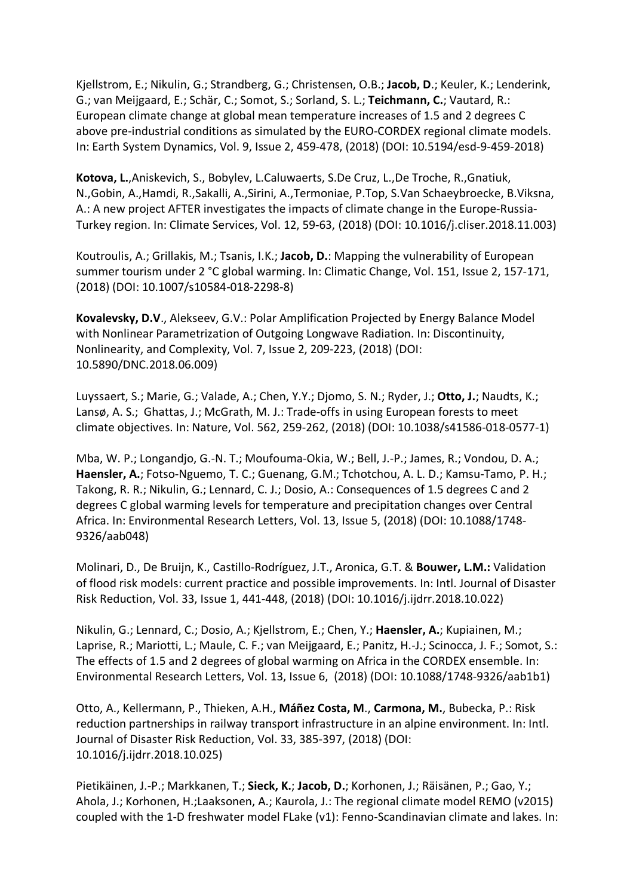Kjellstrom, E.; Nikulin, G.; Strandberg, G.; Christensen, O.B.; **Jacob, D**.; Keuler, K.; Lenderink, G.; van Meijgaard, E.; Schär, C.; Somot, S.; Sorland, S. L.; **Teichmann, C.**; Vautard, R.: European climate change at global mean temperature increases of 1.5 and 2 degrees C above pre-industrial conditions as simulated by the EURO-CORDEX regional climate models. In: Earth System Dynamics, Vol. 9, Issue 2, 459-478, (2018) (DOI: 10.5194/esd-9-459-2018)

**Kotova, L.**,Aniskevich, S., Bobylev, L.Caluwaerts, S.De Cruz, L.,De Troche, R.,Gnatiuk, N.,Gobin, A.,Hamdi, R.,Sakalli, A.,Sirini, A.,Termoniae, P.Top, S.Van Schaeybroecke, B.Viksna, A.: A new project AFTER investigates the impacts of climate change in the Europe-Russia-Turkey region. In: Climate Services, Vol. 12, 59-63, (2018) (DOI: 10.1016/j.cliser.2018.11.003)

Koutroulis, A.; Grillakis, M.; Tsanis, I.K.; **Jacob, D.**: Mapping the vulnerability of European summer tourism under 2 °C global warming. In: Climatic Change, Vol. 151, Issue 2, 157-171, (2018) (DOI: 10.1007/s10584-018-2298-8)

**Kovalevsky, D.V**., Alekseev, G.V.: Polar Amplification Projected by Energy Balance Model with Nonlinear Parametrization of Outgoing Longwave Radiation. In: Discontinuity, Nonlinearity, and Complexity, Vol. 7, Issue 2, 209-223, (2018) (DOI: 10.5890/DNC.2018.06.009)

Luyssaert, S.; Marie, G.; Valade, A.; Chen, Y.Y.; Djomo, S. N.; Ryder, J.; **Otto, J.**; Naudts, K.; Lansø, A. S.; Ghattas, J.; McGrath, M. J.: Trade-offs in using European forests to meet climate objectives. In: Nature, Vol. 562, 259-262, (2018) (DOI: 10.1038/s41586-018-0577-1)

Mba, W. P.; Longandjo, G.-N. T.; Moufouma-Okia, W.; Bell, J.-P.; James, R.; Vondou, D. A.; **Haensler, A.**; Fotso-Nguemo, T. C.; Guenang, G.M.; Tchotchou, A. L. D.; Kamsu-Tamo, P. H.; Takong, R. R.; Nikulin, G.; Lennard, C. J.; Dosio, A.: Consequences of 1.5 degrees C and 2 degrees C global warming levels for temperature and precipitation changes over Central Africa. In: Environmental Research Letters, Vol. 13, Issue 5, (2018) (DOI: 10.1088/1748- 9326/aab048)

Molinari, D., De Bruijn, K., Castillo-Rodríguez, J.T., Aronica, G.T. & **Bouwer, L.M.:** Validation of flood risk models: current practice and possible improvements. In: Intl. Journal of Disaster Risk Reduction, Vol. 33, Issue 1, 441-448, (2018) (DOI: 10.1016/j.ijdrr.2018.10.022)

Nikulin, G.; Lennard, C.; Dosio, A.; Kjellstrom, E.; Chen, Y.; **Haensler, A.**; Kupiainen, M.; Laprise, R.; Mariotti, L.; Maule, C. F.; van Meijgaard, E.; Panitz, H.-J.; Scinocca, J. F.; Somot, S.: The effects of 1.5 and 2 degrees of global warming on Africa in the CORDEX ensemble. In: Environmental Research Letters, Vol. 13, Issue 6, (2018) (DOI: 10.1088/1748-9326/aab1b1)

Otto, A., Kellermann, P., Thieken, A.H., **Máñez Costa, M**., **Carmona, M.**, Bubecka, P.: Risk reduction partnerships in railway transport infrastructure in an alpine environment. In: Intl. Journal of Disaster Risk Reduction, Vol. 33, 385-397, (2018) (DOI: 10.1016/j.ijdrr.2018.10.025)

Pietikäinen, J.-P.; Markkanen, T.; **Sieck, K.**; **Jacob, D.**; Korhonen, J.; Räisänen, P.; Gao, Y.; Ahola, J.; Korhonen, H.;Laaksonen, A.; Kaurola, J.: The regional climate model REMO (v2015) coupled with the 1-D freshwater model FLake (v1): Fenno-Scandinavian climate and lakes. In: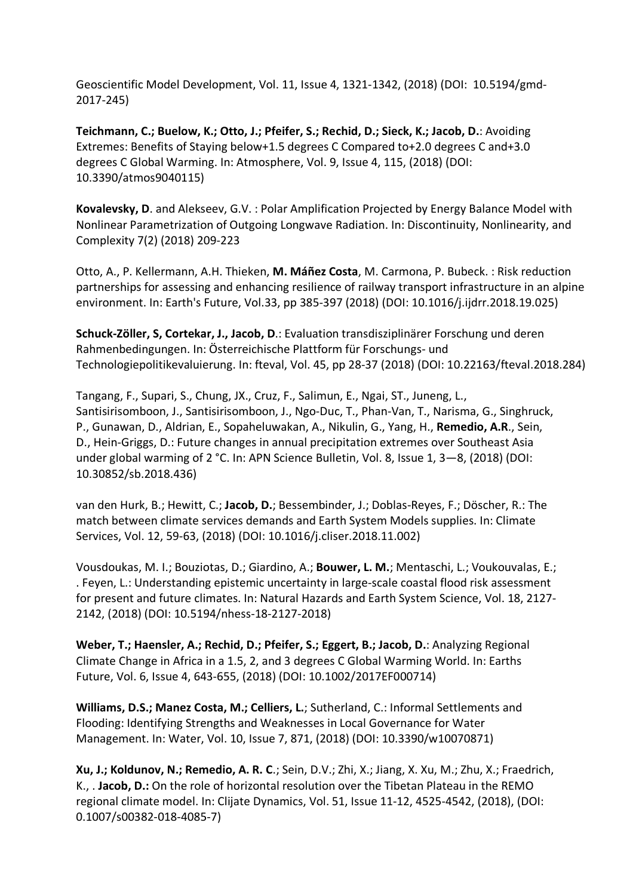Geoscientific Model Development, Vol. 11, Issue 4, 1321-1342, (2018) (DOI: 10.5194/gmd-2017-245)

**Teichmann, C.; Buelow, K.; Otto, J.; Pfeifer, S.; Rechid, D.; Sieck, K.; Jacob, D.**: Avoiding Extremes: Benefits of Staying below+1.5 degrees C Compared to+2.0 degrees C and+3.0 degrees C Global Warming. In: Atmosphere, Vol. 9, Issue 4, 115, (2018) (DOI: 10.3390/atmos9040115)

**Kovalevsky, D**. and Alekseev, G.V. : Polar Amplification Projected by Energy Balance Model with Nonlinear Parametrization of Outgoing Longwave Radiation. In: Discontinuity, Nonlinearity, and Complexity 7(2) (2018) 209-223

Otto, A., P. Kellermann, A.H. Thieken, **M. Máñez Costa**, M. Carmona, P. Bubeck. : Risk reduction partnerships for assessing and enhancing resilience of railway transport infrastructure in an alpine environment. In: Earth's Future, Vol.33, pp 385-397 (2018) (DOI: 10.1016/j.ijdrr.2018.19.025)

**Schuck-Zöller, S, Cortekar, J., Jacob, D**.: Evaluation transdisziplinärer Forschung und deren Rahmenbedingungen. In: Österreichische Plattform für Forschungs- und Technologiepolitikevaluierung. In: fteval, Vol. 45, pp 28-37 (2018) (DOI: 10.22163/fteval.2018.284)

Tangang, F., Supari, S., Chung, JX., Cruz, F., Salimun, E., Ngai, ST., Juneng, L., Santisirisomboon, J., Santisirisomboon, J., Ngo-Duc, T., Phan-Van, T., Narisma, G., Singhruck, P., Gunawan, D., Aldrian, E., Sopaheluwakan, A., Nikulin, G., Yang, H., **Remedio, A.R**., Sein, D., Hein-Griggs, D.: Future changes in annual precipitation extremes over Southeast Asia under global warming of 2 °C. In: APN Science Bulletin, Vol. 8, Issue 1, 3—8, (2018) (DOI: 10.30852/sb.2018.436)

van den Hurk, B.; Hewitt, C.; **Jacob, D.**; Bessembinder, J.; Doblas-Reyes, F.; Döscher, R.: The match between climate services demands and Earth System Models supplies. In: Climate Services, Vol. 12, 59-63, (2018) (DOI: 10.1016/j.cliser.2018.11.002)

Vousdoukas, M. I.; Bouziotas, D.; Giardino, A.; **Bouwer, L. M.**; Mentaschi, L.; Voukouvalas, E.; . Feyen, L.: Understanding epistemic uncertainty in large-scale coastal flood risk assessment for present and future climates. In: Natural Hazards and Earth System Science, Vol. 18, 2127- 2142, (2018) (DOI: 10.5194/nhess-18-2127-2018)

**Weber, T.; Haensler, A.; Rechid, D.; Pfeifer, S.; Eggert, B.; Jacob, D.**: Analyzing Regional Climate Change in Africa in a 1.5, 2, and 3 degrees C Global Warming World. In: Earths Future, Vol. 6, Issue 4, 643-655, (2018) (DOI: 10.1002/2017EF000714)

**Williams, D.S.; Manez Costa, M.; Celliers, L.**; Sutherland, C.: Informal Settlements and Flooding: Identifying Strengths and Weaknesses in Local Governance for Water Management. In: Water, Vol. 10, Issue 7, 871, (2018) (DOI: 10.3390/w10070871)

**Xu, J.; Koldunov, N.; Remedio, A. R. C**.; Sein, D.V.; Zhi, X.; Jiang, X. Xu, M.; Zhu, X.; Fraedrich, K., . **Jacob, D.:** On the role of horizontal resolution over the Tibetan Plateau in the REMO regional climate model. In: Clijate Dynamics, Vol. 51, Issue 11-12, 4525-4542, (2018), (DOI: 0.1007/s00382-018-4085-7)